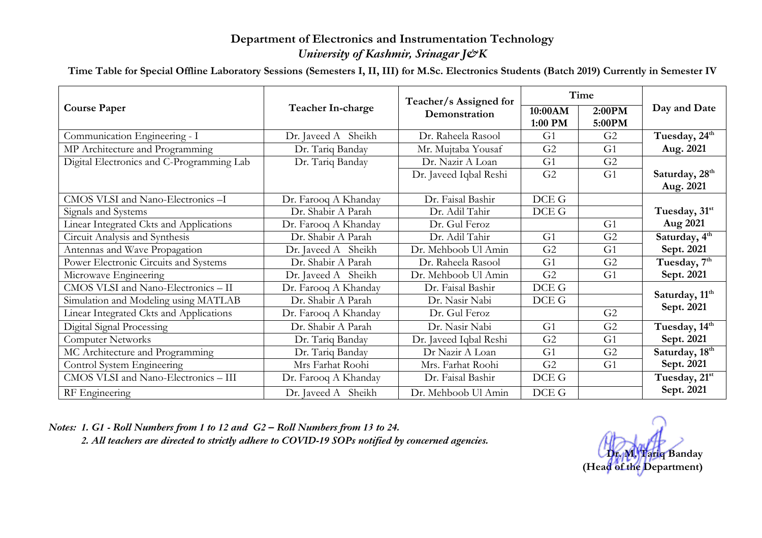## **Department of Electronics and Instrumentation Technology** *University of Kashmir, Srinagar J&K*

**Time Table for Special Offline Laboratory Sessions (Semesters I, II, III) for M.Sc. Electronics Students (Batch 2019) Currently in Semester IV**

| <b>Course Paper</b>                       | Teacher In-charge    | Teacher/s Assigned for<br>Demonstration | Time               |                  |                            |
|-------------------------------------------|----------------------|-----------------------------------------|--------------------|------------------|----------------------------|
|                                           |                      |                                         | 10:00AM<br>1:00 PM | 2:00PM<br>5:00PM | Day and Date               |
| Communication Engineering - I             | Dr. Javeed A Sheikh  | Dr. Raheela Rasool                      | G <sub>1</sub>     | G <sub>2</sub>   | Tuesday, 24 <sup>th</sup>  |
| MP Architecture and Programming           | Dr. Tariq Banday     | Mr. Mujtaba Yousaf                      | G <sub>2</sub>     | G1               | Aug. 2021                  |
| Digital Electronics and C-Programming Lab | Dr. Tariq Banday     | Dr. Nazir A Loan                        | G <sub>1</sub>     | G <sub>2</sub>   |                            |
|                                           |                      | Dr. Javeed Iqbal Reshi                  | G <sub>2</sub>     | G <sub>1</sub>   | Saturday, 28 <sup>th</sup> |
|                                           |                      |                                         |                    |                  | Aug. 2021                  |
| CMOS VLSI and Nano-Electronics-I          | Dr. Farooq A Khanday | Dr. Faisal Bashir                       | DCE G              |                  |                            |
| Signals and Systems                       | Dr. Shabir A Parah   | Dr. Adil Tahir                          | DCE G              |                  | Tuesday, 31st              |
| Linear Integrated Ckts and Applications   | Dr. Farooq A Khanday | Dr. Gul Feroz                           |                    | G <sub>1</sub>   | Aug 2021                   |
| Circuit Analysis and Synthesis            | Dr. Shabir A Parah   | Dr. Adil Tahir                          | G <sub>1</sub>     | G <sub>2</sub>   | Saturday, 4 <sup>th</sup>  |
| Antennas and Wave Propagation             | Dr. Javeed A Sheikh  | Dr. Mehboob Ul Amin                     | G <sub>2</sub>     | G <sub>1</sub>   | Sept. 2021                 |
| Power Electronic Circuits and Systems     | Dr. Shabir A Parah   | Dr. Raheela Rasool                      | G <sub>1</sub>     | G <sub>2</sub>   | Tuesday, 7 <sup>th</sup>   |
| Microwave Engineering                     | Dr. Javeed A Sheikh  | Dr. Mehboob Ul Amin                     | G <sub>2</sub>     | G <sub>1</sub>   | Sept. 2021                 |
| CMOS VLSI and Nano-Electronics - II       | Dr. Farooq A Khanday | Dr. Faisal Bashir                       | DCE G              |                  |                            |
| Simulation and Modeling using MATLAB      | Dr. Shabir A Parah   | Dr. Nasir Nabi                          | DCE G              |                  | Saturday, 11 <sup>th</sup> |
| Linear Integrated Ckts and Applications   | Dr. Farooq A Khanday | Dr. Gul Feroz                           |                    | G <sub>2</sub>   | Sept. 2021                 |
| Digital Signal Processing                 | Dr. Shabir A Parah   | Dr. Nasir Nabi                          | G <sub>1</sub>     | G <sub>2</sub>   | Tuesday, 14th              |
| <b>Computer Networks</b>                  | Dr. Tariq Banday     | Dr. Javeed Iqbal Reshi                  | G <sub>2</sub>     | G <sub>1</sub>   | Sept. 2021                 |
| MC Architecture and Programming           | Dr. Tariq Banday     | Dr Nazir A Loan                         | G <sub>1</sub>     | G <sub>2</sub>   | Saturday, 18th             |
| Control System Engineering                | Mrs Farhat Roohi     | Mrs. Farhat Roohi                       | G <sub>2</sub>     | G <sub>1</sub>   | Sept. 2021                 |
| CMOS VLSI and Nano-Electronics - III      | Dr. Farooq A Khanday | Dr. Faisal Bashir                       | DCE G              |                  | Tuesday, 21st              |
| RF Engineering                            | Dr. Javeed A Sheikh  | Dr. Mehboob Ul Amin                     | DCE G              |                  | Sept. 2021                 |

*Notes: 1. G1 - Roll Numbers from 1 to 12 and G2 – Roll Numbers from 13 to 24. 2. All teachers are directed to strictly adhere to COVID-19 SOPs notified by concerned agencies.*

**Dr. M. Tariq Banday (Head of the Department)**